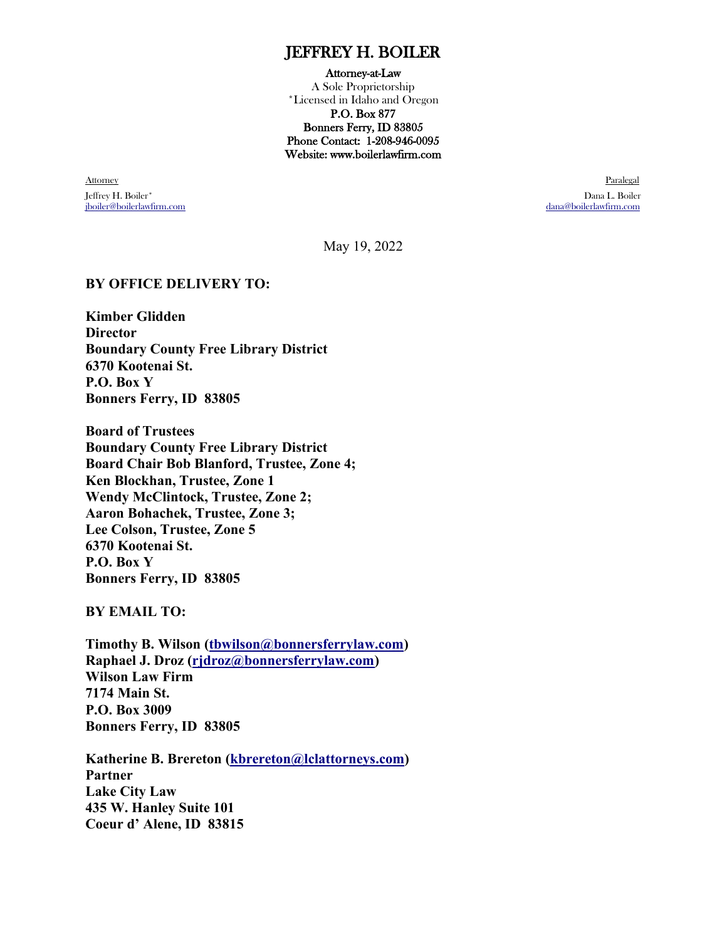## JEFFREY H. BOILER

#### Attorney-at-Law

A Sole Proprietorship \*Licensed in Idaho and Oregon P.O. Box 877 Bonners Ferry, ID 83805 Phone Contact: 1-208-946-0095 Website: www.boilerlawfirm.com

en and the control of the control of the control of the control of the control of the control of the control of the control of the control of the control of the control of the control of the control of the control of the c Jeffrey H. Boiler\* Dana L. Boiler [jboiler@boilerlawfirm.com](mailto:jboiler@boilerlawfirm.com)

May 19, 2022

#### **BY OFFICE DELIVERY TO:**

**Kimber Glidden Director Boundary County Free Library District 6370 Kootenai St. P.O. Box Y Bonners Ferry, ID 83805**

**Board of Trustees Boundary County Free Library District Board Chair Bob Blanford, Trustee, Zone 4; Ken Blockhan, Trustee, Zone 1 Wendy McClintock, Trustee, Zone 2; Aaron Bohachek, Trustee, Zone 3; Lee Colson, Trustee, Zone 5 6370 Kootenai St. P.O. Box Y Bonners Ferry, ID 83805**

**BY EMAIL TO:**

**Timothy B. Wilson [\(tbwilson@bonnersferrylaw.com\)](mailto:tbwilson@bonnersferrylaw.com) Raphael J. Droz [\(rjdroz@bonnersferrylaw.com\)](mailto:rjdroz@bonnersferrylaw.com) Wilson Law Firm 7174 Main St. P.O. Box 3009 Bonners Ferry, ID 83805**

**Katherine B. Brereton [\(kbrereton@lclattorneys.com\)](mailto:kbrereton@lclattorneys.com) Partner Lake City Law 435 W. Hanley Suite 101 Coeur d' Alene, ID 83815**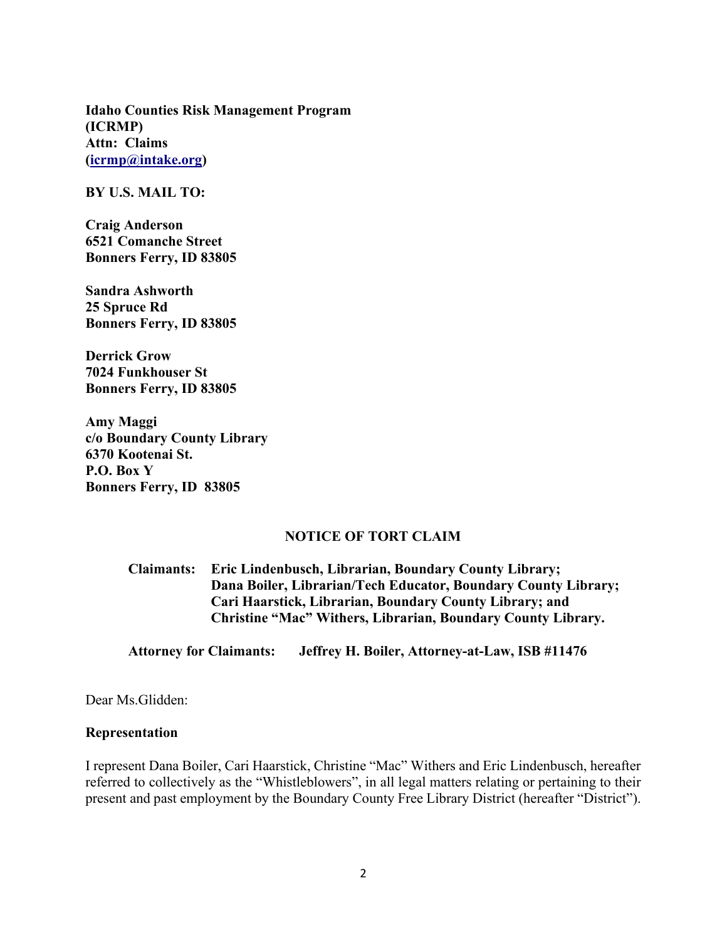**Idaho Counties Risk Management Program (ICRMP) Attn: Claims [\(icrmp@intake.org\)](mailto:icrmp@intake.org)** 

**BY U.S. MAIL TO:**

**Craig Anderson 6521 Comanche Street Bonners Ferry, ID 83805**

**Sandra Ashworth 25 Spruce Rd Bonners Ferry, ID 83805**

**Derrick Grow 7024 Funkhouser St Bonners Ferry, ID 83805**

**Amy Maggi c/o Boundary County Library 6370 Kootenai St. P.O. Box Y Bonners Ferry, ID 83805**

#### **NOTICE OF TORT CLAIM**

**Claimants: Eric Lindenbusch, Librarian, Boundary County Library; Dana Boiler, Librarian/Tech Educator, Boundary County Library; Cari Haarstick, Librarian, Boundary County Library; and Christine "Mac" Withers, Librarian, Boundary County Library.**

**Attorney for Claimants: Jeffrey H. Boiler, Attorney-at-Law, ISB #11476**

Dear Ms.Glidden:

#### **Representation**

I represent Dana Boiler, Cari Haarstick, Christine "Mac" Withers and Eric Lindenbusch, hereafter referred to collectively as the "Whistleblowers", in all legal matters relating or pertaining to their present and past employment by the Boundary County Free Library District (hereafter "District").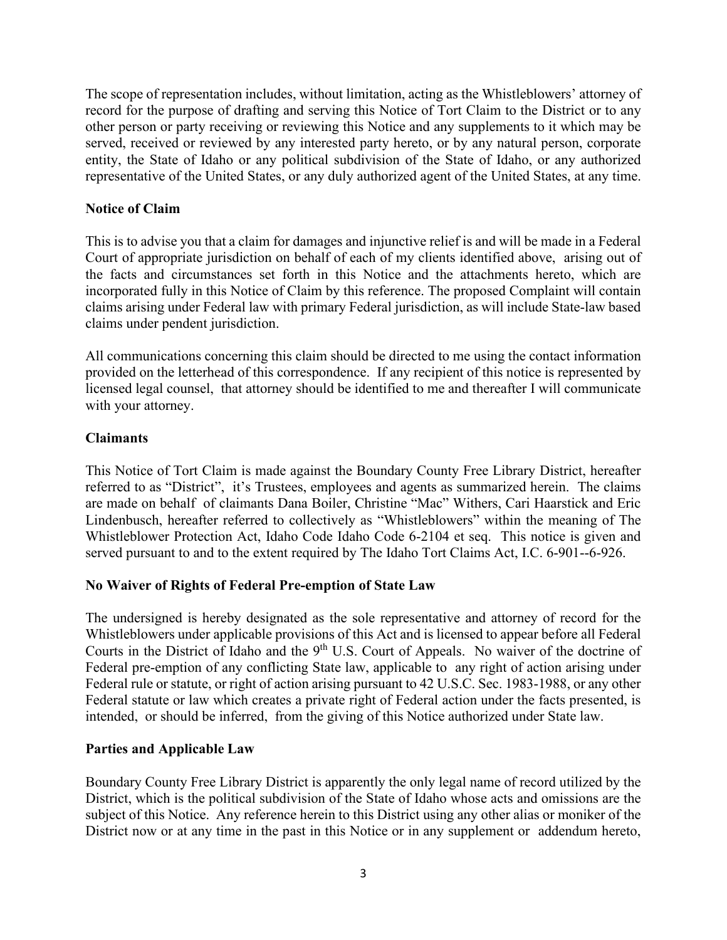The scope of representation includes, without limitation, acting as the Whistleblowers' attorney of record for the purpose of drafting and serving this Notice of Tort Claim to the District or to any other person or party receiving or reviewing this Notice and any supplements to it which may be served, received or reviewed by any interested party hereto, or by any natural person, corporate entity, the State of Idaho or any political subdivision of the State of Idaho, or any authorized representative of the United States, or any duly authorized agent of the United States, at any time.

#### **Notice of Claim**

This is to advise you that a claim for damages and injunctive relief is and will be made in a Federal Court of appropriate jurisdiction on behalf of each of my clients identified above, arising out of the facts and circumstances set forth in this Notice and the attachments hereto, which are incorporated fully in this Notice of Claim by this reference. The proposed Complaint will contain claims arising under Federal law with primary Federal jurisdiction, as will include State-law based claims under pendent jurisdiction.

All communications concerning this claim should be directed to me using the contact information provided on the letterhead of this correspondence. If any recipient of this notice is represented by licensed legal counsel, that attorney should be identified to me and thereafter I will communicate with your attorney.

#### **Claimants**

This Notice of Tort Claim is made against the Boundary County Free Library District, hereafter referred to as "District", it's Trustees, employees and agents as summarized herein. The claims are made on behalf of claimants Dana Boiler, Christine "Mac" Withers, Cari Haarstick and Eric Lindenbusch, hereafter referred to collectively as "Whistleblowers" within the meaning of The Whistleblower Protection Act, Idaho Code Idaho Code 6-2104 et seq. This notice is given and served pursuant to and to the extent required by The Idaho Tort Claims Act, I.C. 6-901--6-926.

#### **No Waiver of Rights of Federal Pre-emption of State Law**

The undersigned is hereby designated as the sole representative and attorney of record for the Whistleblowers under applicable provisions of this Act and is licensed to appear before all Federal Courts in the District of Idaho and the 9<sup>th</sup> U.S. Court of Appeals. No waiver of the doctrine of Federal pre-emption of any conflicting State law, applicable to any right of action arising under Federal rule or statute, or right of action arising pursuant to 42 U.S.C. Sec. 1983-1988, or any other Federal statute or law which creates a private right of Federal action under the facts presented, is intended, or should be inferred, from the giving of this Notice authorized under State law.

#### **Parties and Applicable Law**

Boundary County Free Library District is apparently the only legal name of record utilized by the District, which is the political subdivision of the State of Idaho whose acts and omissions are the subject of this Notice. Any reference herein to this District using any other alias or moniker of the District now or at any time in the past in this Notice or in any supplement or addendum hereto,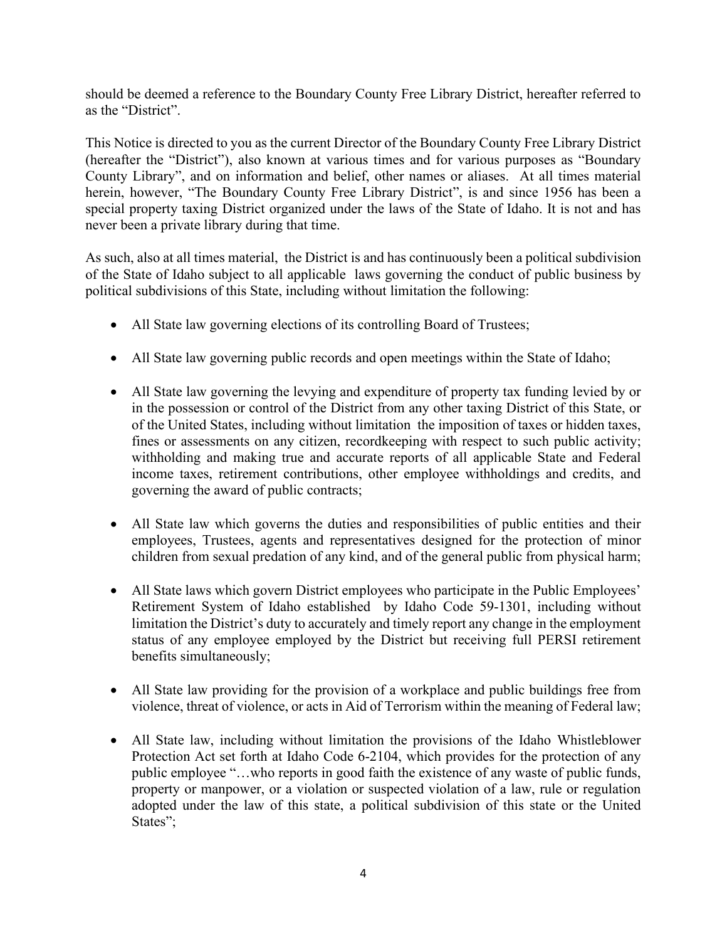should be deemed a reference to the Boundary County Free Library District, hereafter referred to as the "District".

This Notice is directed to you as the current Director of the Boundary County Free Library District (hereafter the "District"), also known at various times and for various purposes as "Boundary County Library", and on information and belief, other names or aliases. At all times material herein, however, "The Boundary County Free Library District", is and since 1956 has been a special property taxing District organized under the laws of the State of Idaho. It is not and has never been a private library during that time.

As such, also at all times material, the District is and has continuously been a political subdivision of the State of Idaho subject to all applicable laws governing the conduct of public business by political subdivisions of this State, including without limitation the following:

- All State law governing elections of its controlling Board of Trustees;
- All State law governing public records and open meetings within the State of Idaho;
- All State law governing the levying and expenditure of property tax funding levied by or in the possession or control of the District from any other taxing District of this State, or of the United States, including without limitation the imposition of taxes or hidden taxes, fines or assessments on any citizen, recordkeeping with respect to such public activity; withholding and making true and accurate reports of all applicable State and Federal income taxes, retirement contributions, other employee withholdings and credits, and governing the award of public contracts;
- All State law which governs the duties and responsibilities of public entities and their employees, Trustees, agents and representatives designed for the protection of minor children from sexual predation of any kind, and of the general public from physical harm;
- All State laws which govern District employees who participate in the Public Employees' Retirement System of Idaho established by Idaho Code 59-1301, including without limitation the District's duty to accurately and timely report any change in the employment status of any employee employed by the District but receiving full PERSI retirement benefits simultaneously;
- All State law providing for the provision of a workplace and public buildings free from violence, threat of violence, or acts in Aid of Terrorism within the meaning of Federal law;
- All State law, including without limitation the provisions of the Idaho Whistleblower Protection Act set forth at Idaho Code 6-2104, which provides for the protection of any public employee "…who reports in good faith the existence of any waste of public funds, property or manpower, or a violation or suspected violation of a law, rule or regulation adopted under the law of this state, a political subdivision of this state or the United States";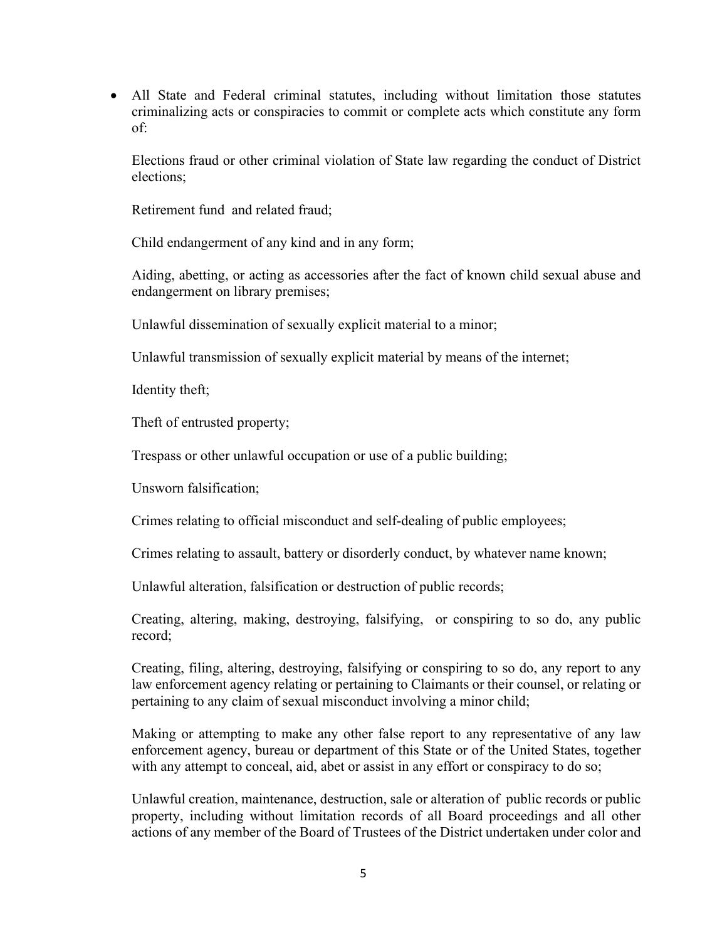• All State and Federal criminal statutes, including without limitation those statutes criminalizing acts or conspiracies to commit or complete acts which constitute any form of:

Elections fraud or other criminal violation of State law regarding the conduct of District elections;

Retirement fund and related fraud;

Child endangerment of any kind and in any form;

Aiding, abetting, or acting as accessories after the fact of known child sexual abuse and endangerment on library premises;

Unlawful dissemination of sexually explicit material to a minor;

Unlawful transmission of sexually explicit material by means of the internet;

Identity theft;

Theft of entrusted property;

Trespass or other unlawful occupation or use of a public building;

Unsworn falsification;

Crimes relating to official misconduct and self-dealing of public employees;

Crimes relating to assault, battery or disorderly conduct, by whatever name known;

Unlawful alteration, falsification or destruction of public records;

Creating, altering, making, destroying, falsifying, or conspiring to so do, any public record;

Creating, filing, altering, destroying, falsifying or conspiring to so do, any report to any law enforcement agency relating or pertaining to Claimants or their counsel, or relating or pertaining to any claim of sexual misconduct involving a minor child;

Making or attempting to make any other false report to any representative of any law enforcement agency, bureau or department of this State or of the United States, together with any attempt to conceal, aid, abet or assist in any effort or conspiracy to do so;

Unlawful creation, maintenance, destruction, sale or alteration of public records or public property, including without limitation records of all Board proceedings and all other actions of any member of the Board of Trustees of the District undertaken under color and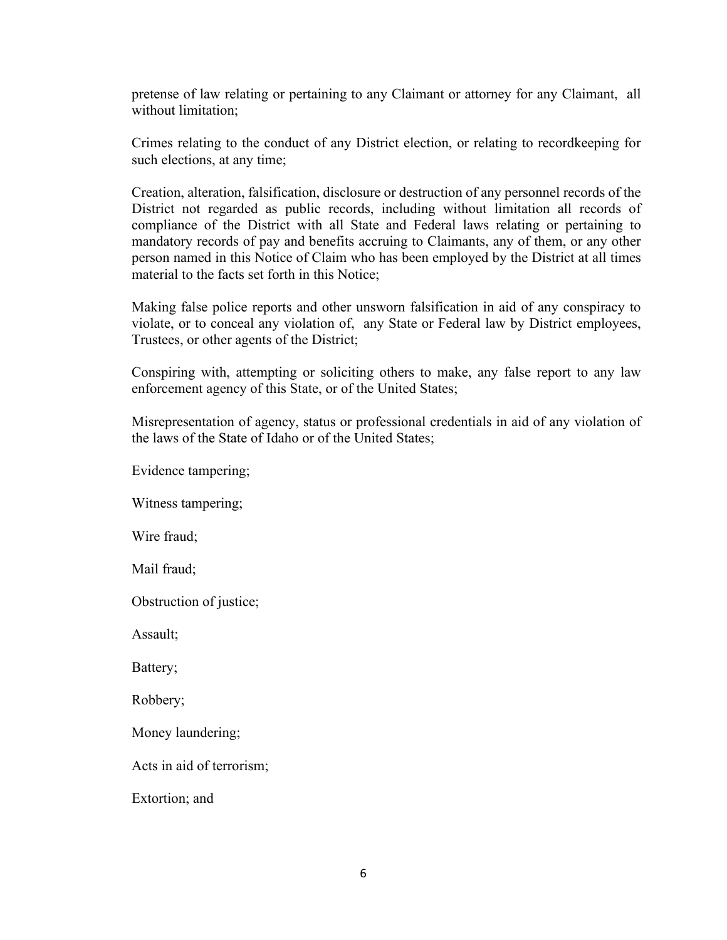pretense of law relating or pertaining to any Claimant or attorney for any Claimant, all without limitation;

Crimes relating to the conduct of any District election, or relating to recordkeeping for such elections, at any time;

Creation, alteration, falsification, disclosure or destruction of any personnel records of the District not regarded as public records, including without limitation all records of compliance of the District with all State and Federal laws relating or pertaining to mandatory records of pay and benefits accruing to Claimants, any of them, or any other person named in this Notice of Claim who has been employed by the District at all times material to the facts set forth in this Notice;

Making false police reports and other unsworn falsification in aid of any conspiracy to violate, or to conceal any violation of, any State or Federal law by District employees, Trustees, or other agents of the District;

Conspiring with, attempting or soliciting others to make, any false report to any law enforcement agency of this State, or of the United States;

Misrepresentation of agency, status or professional credentials in aid of any violation of the laws of the State of Idaho or of the United States;

Evidence tampering;

Witness tampering;

Wire fraud;

Mail fraud;

Obstruction of justice;

Assault;

Battery;

Robbery;

Money laundering;

Acts in aid of terrorism;

Extortion; and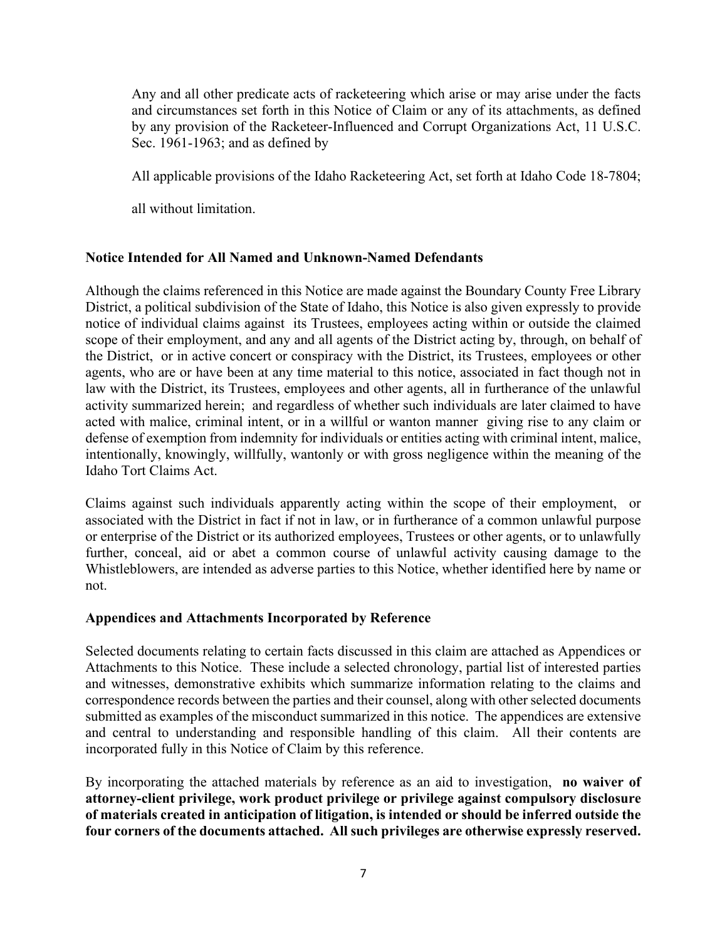Any and all other predicate acts of racketeering which arise or may arise under the facts and circumstances set forth in this Notice of Claim or any of its attachments, as defined by any provision of the Racketeer-Influenced and Corrupt Organizations Act, 11 U.S.C. Sec. 1961-1963; and as defined by

All applicable provisions of the Idaho Racketeering Act, set forth at Idaho Code 18-7804;

all without limitation.

#### **Notice Intended for All Named and Unknown-Named Defendants**

Although the claims referenced in this Notice are made against the Boundary County Free Library District, a political subdivision of the State of Idaho, this Notice is also given expressly to provide notice of individual claims against its Trustees, employees acting within or outside the claimed scope of their employment, and any and all agents of the District acting by, through, on behalf of the District, or in active concert or conspiracy with the District, its Trustees, employees or other agents, who are or have been at any time material to this notice, associated in fact though not in law with the District, its Trustees, employees and other agents, all in furtherance of the unlawful activity summarized herein; and regardless of whether such individuals are later claimed to have acted with malice, criminal intent, or in a willful or wanton manner giving rise to any claim or defense of exemption from indemnity for individuals or entities acting with criminal intent, malice, intentionally, knowingly, willfully, wantonly or with gross negligence within the meaning of the Idaho Tort Claims Act.

Claims against such individuals apparently acting within the scope of their employment, or associated with the District in fact if not in law, or in furtherance of a common unlawful purpose or enterprise of the District or its authorized employees, Trustees or other agents, or to unlawfully further, conceal, aid or abet a common course of unlawful activity causing damage to the Whistleblowers, are intended as adverse parties to this Notice, whether identified here by name or not.

#### **Appendices and Attachments Incorporated by Reference**

Selected documents relating to certain facts discussed in this claim are attached as Appendices or Attachments to this Notice. These include a selected chronology, partial list of interested parties and witnesses, demonstrative exhibits which summarize information relating to the claims and correspondence records between the parties and their counsel, along with other selected documents submitted as examples of the misconduct summarized in this notice. The appendices are extensive and central to understanding and responsible handling of this claim. All their contents are incorporated fully in this Notice of Claim by this reference.

By incorporating the attached materials by reference as an aid to investigation, **no waiver of attorney-client privilege, work product privilege or privilege against compulsory disclosure of materials created in anticipation of litigation, is intended or should be inferred outside the four corners of the documents attached. All such privileges are otherwise expressly reserved.**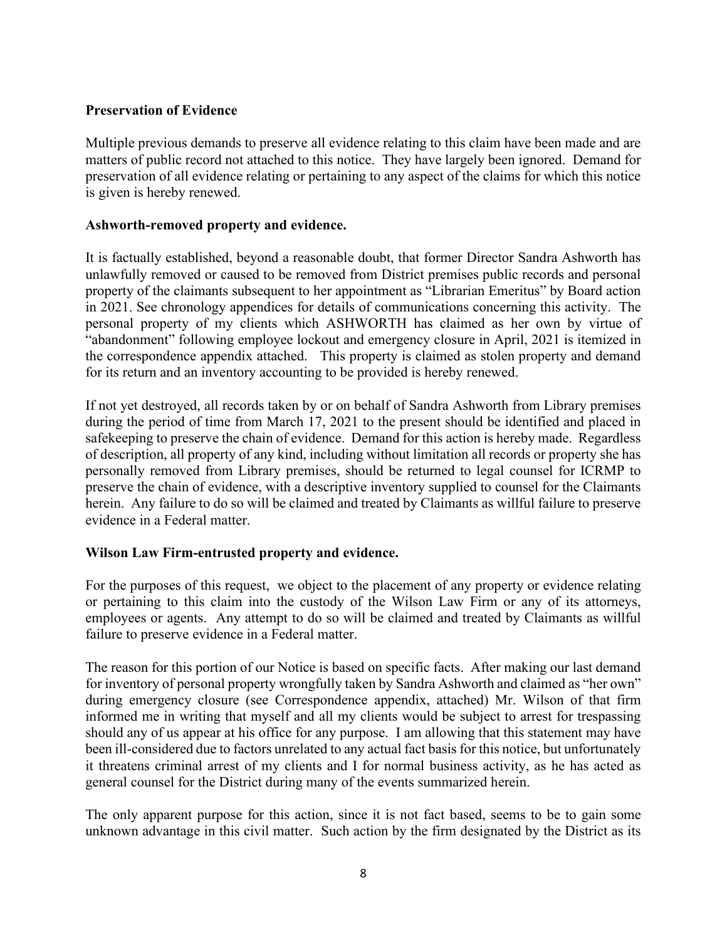#### **Preservation of Evidence**

Multiple previous demands to preserve all evidence relating to this claim have been made and are matters of public record not attached to this notice. They have largely been ignored. Demand for preservation of all evidence relating or pertaining to any aspect of the claims for which this notice is given is hereby renewed.

#### **Ashworth-removed property and evidence.**

It is factually established, beyond a reasonable doubt, that former Director Sandra Ashworth has unlawfully removed or caused to be removed from District premises public records and personal property of the claimants subsequent to her appointment as "Librarian Emeritus" by Board action in 2021. See chronology appendices for details of communications concerning this activity. The personal property of my clients which ASHWORTH has claimed as her own by virtue of "abandonment" following employee lockout and emergency closure in April, 2021 is itemized in the correspondence appendix attached. This property is claimed as stolen property and demand for its return and an inventory accounting to be provided is hereby renewed.

If not yet destroyed, all records taken by or on behalf of Sandra Ashworth from Library premises during the period of time from March 17, 2021 to the present should be identified and placed in safekeeping to preserve the chain of evidence. Demand for this action is hereby made. Regardless of description, all property of any kind, including without limitation all records or property she has personally removed from Library premises, should be returned to legal counsel for ICRMP to preserve the chain of evidence, with a descriptive inventory supplied to counsel for the Claimants herein. Any failure to do so will be claimed and treated by Claimants as willful failure to preserve evidence in a Federal matter.

## **Wilson Law Firm-entrusted property and evidence.**

For the purposes of this request, we object to the placement of any property or evidence relating or pertaining to this claim into the custody of the Wilson Law Firm or any of its attorneys, employees or agents. Any attempt to do so will be claimed and treated by Claimants as willful failure to preserve evidence in a Federal matter.

The reason for this portion of our Notice is based on specific facts. After making our last demand for inventory of personal property wrongfully taken by Sandra Ashworth and claimed as "her own" during emergency closure (see Correspondence appendix, attached) Mr. Wilson of that firm informed me in writing that myself and all my clients would be subject to arrest for trespassing should any of us appear at his office for any purpose. I am allowing that this statement may have been ill-considered due to factors unrelated to any actual fact basis for this notice, but unfortunately it threatens criminal arrest of my clients and I for normal business activity, as he has acted as general counsel for the District during many of the events summarized herein.

The only apparent purpose for this action, since it is not fact based, seems to be to gain some unknown advantage in this civil matter. Such action by the firm designated by the District as its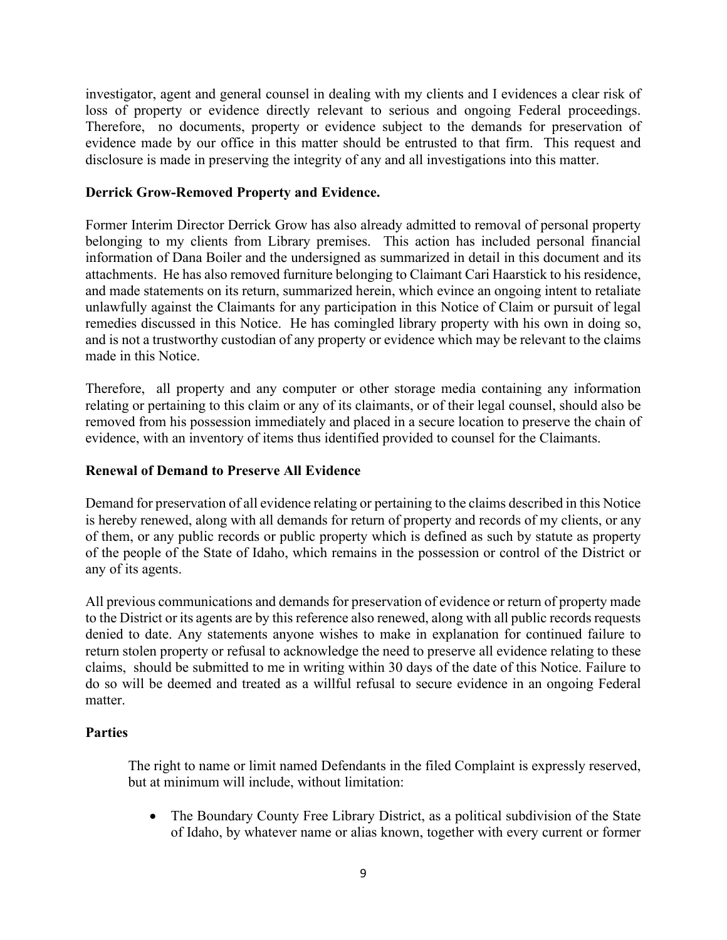investigator, agent and general counsel in dealing with my clients and I evidences a clear risk of loss of property or evidence directly relevant to serious and ongoing Federal proceedings. Therefore, no documents, property or evidence subject to the demands for preservation of evidence made by our office in this matter should be entrusted to that firm. This request and disclosure is made in preserving the integrity of any and all investigations into this matter.

#### **Derrick Grow-Removed Property and Evidence.**

Former Interim Director Derrick Grow has also already admitted to removal of personal property belonging to my clients from Library premises. This action has included personal financial information of Dana Boiler and the undersigned as summarized in detail in this document and its attachments. He has also removed furniture belonging to Claimant Cari Haarstick to his residence, and made statements on its return, summarized herein, which evince an ongoing intent to retaliate unlawfully against the Claimants for any participation in this Notice of Claim or pursuit of legal remedies discussed in this Notice. He has comingled library property with his own in doing so, and is not a trustworthy custodian of any property or evidence which may be relevant to the claims made in this Notice.

Therefore, all property and any computer or other storage media containing any information relating or pertaining to this claim or any of its claimants, or of their legal counsel, should also be removed from his possession immediately and placed in a secure location to preserve the chain of evidence, with an inventory of items thus identified provided to counsel for the Claimants.

#### **Renewal of Demand to Preserve All Evidence**

Demand for preservation of all evidence relating or pertaining to the claims described in this Notice is hereby renewed, along with all demands for return of property and records of my clients, or any of them, or any public records or public property which is defined as such by statute as property of the people of the State of Idaho, which remains in the possession or control of the District or any of its agents.

All previous communications and demands for preservation of evidence or return of property made to the District or its agents are by this reference also renewed, along with all public records requests denied to date. Any statements anyone wishes to make in explanation for continued failure to return stolen property or refusal to acknowledge the need to preserve all evidence relating to these claims, should be submitted to me in writing within 30 days of the date of this Notice. Failure to do so will be deemed and treated as a willful refusal to secure evidence in an ongoing Federal matter.

#### **Parties**

The right to name or limit named Defendants in the filed Complaint is expressly reserved, but at minimum will include, without limitation:

• The Boundary County Free Library District, as a political subdivision of the State of Idaho, by whatever name or alias known, together with every current or former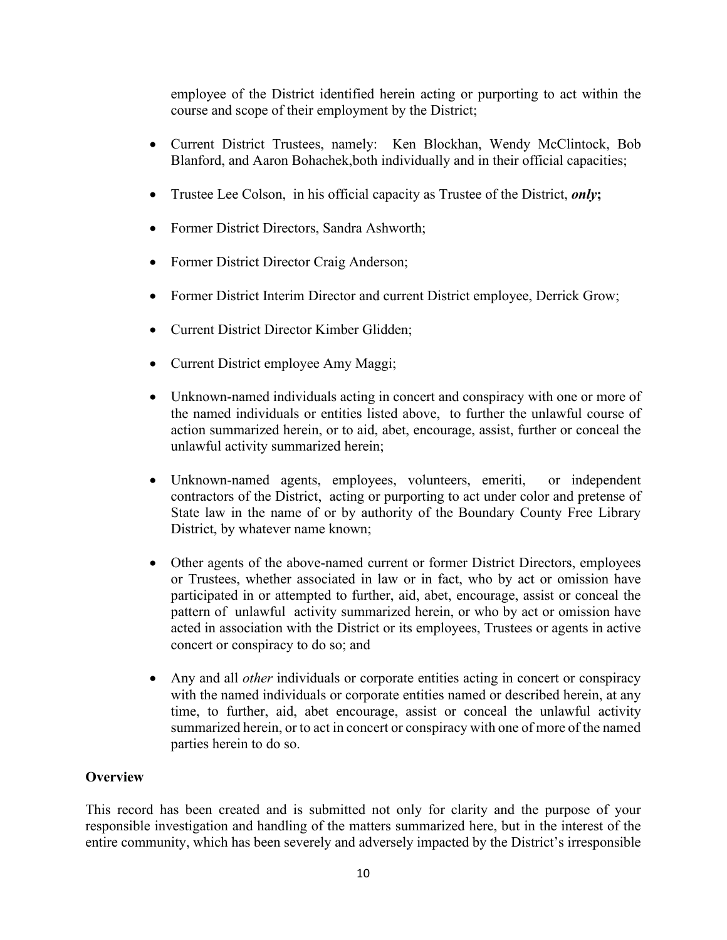employee of the District identified herein acting or purporting to act within the course and scope of their employment by the District;

- Current District Trustees, namely: Ken Blockhan, Wendy McClintock, Bob Blanford, and Aaron Bohachek,both individually and in their official capacities;
- Trustee Lee Colson, in his official capacity as Trustee of the District, *only***;**
- Former District Directors, Sandra Ashworth;
- Former District Director Craig Anderson;
- Former District Interim Director and current District employee, Derrick Grow;
- Current District Director Kimber Glidden:
- Current District employee Amy Maggi;
- Unknown-named individuals acting in concert and conspiracy with one or more of the named individuals or entities listed above, to further the unlawful course of action summarized herein, or to aid, abet, encourage, assist, further or conceal the unlawful activity summarized herein;
- Unknown-named agents, employees, volunteers, emeriti, or independent contractors of the District, acting or purporting to act under color and pretense of State law in the name of or by authority of the Boundary County Free Library District, by whatever name known;
- Other agents of the above-named current or former District Directors, employees or Trustees, whether associated in law or in fact, who by act or omission have participated in or attempted to further, aid, abet, encourage, assist or conceal the pattern of unlawful activity summarized herein, or who by act or omission have acted in association with the District or its employees, Trustees or agents in active concert or conspiracy to do so; and
- Any and all *other* individuals or corporate entities acting in concert or conspiracy with the named individuals or corporate entities named or described herein, at any time, to further, aid, abet encourage, assist or conceal the unlawful activity summarized herein, or to act in concert or conspiracy with one of more of the named parties herein to do so.

## **Overview**

This record has been created and is submitted not only for clarity and the purpose of your responsible investigation and handling of the matters summarized here, but in the interest of the entire community, which has been severely and adversely impacted by the District's irresponsible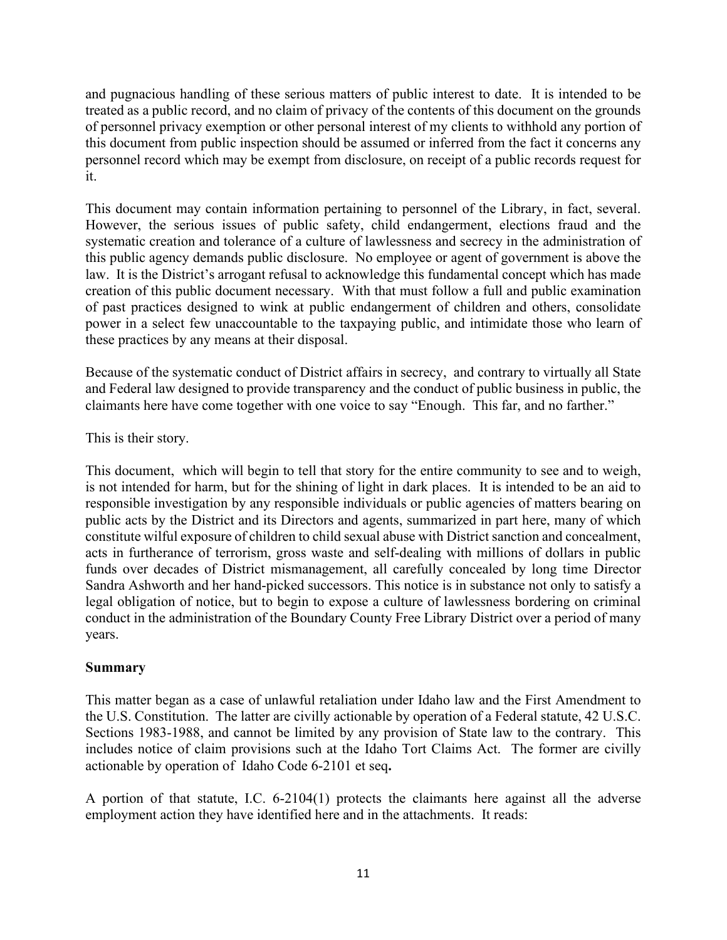and pugnacious handling of these serious matters of public interest to date. It is intended to be treated as a public record, and no claim of privacy of the contents of this document on the grounds of personnel privacy exemption or other personal interest of my clients to withhold any portion of this document from public inspection should be assumed or inferred from the fact it concerns any personnel record which may be exempt from disclosure, on receipt of a public records request for it.

This document may contain information pertaining to personnel of the Library, in fact, several. However, the serious issues of public safety, child endangerment, elections fraud and the systematic creation and tolerance of a culture of lawlessness and secrecy in the administration of this public agency demands public disclosure. No employee or agent of government is above the law. It is the District's arrogant refusal to acknowledge this fundamental concept which has made creation of this public document necessary. With that must follow a full and public examination of past practices designed to wink at public endangerment of children and others, consolidate power in a select few unaccountable to the taxpaying public, and intimidate those who learn of these practices by any means at their disposal.

Because of the systematic conduct of District affairs in secrecy, and contrary to virtually all State and Federal law designed to provide transparency and the conduct of public business in public, the claimants here have come together with one voice to say "Enough. This far, and no farther."

This is their story.

This document, which will begin to tell that story for the entire community to see and to weigh, is not intended for harm, but for the shining of light in dark places. It is intended to be an aid to responsible investigation by any responsible individuals or public agencies of matters bearing on public acts by the District and its Directors and agents, summarized in part here, many of which constitute wilful exposure of children to child sexual abuse with District sanction and concealment, acts in furtherance of terrorism, gross waste and self-dealing with millions of dollars in public funds over decades of District mismanagement, all carefully concealed by long time Director Sandra Ashworth and her hand-picked successors. This notice is in substance not only to satisfy a legal obligation of notice, but to begin to expose a culture of lawlessness bordering on criminal conduct in the administration of the Boundary County Free Library District over a period of many years.

## **Summary**

This matter began as a case of unlawful retaliation under Idaho law and the First Amendment to the U.S. Constitution. The latter are civilly actionable by operation of a Federal statute, 42 U.S.C. Sections 1983-1988, and cannot be limited by any provision of State law to the contrary. This includes notice of claim provisions such at the Idaho Tort Claims Act. The former are civilly actionable by operation of Idaho Code 6-2101 et seq**.**

A portion of that statute, I.C. 6-2104(1) protects the claimants here against all the adverse employment action they have identified here and in the attachments. It reads: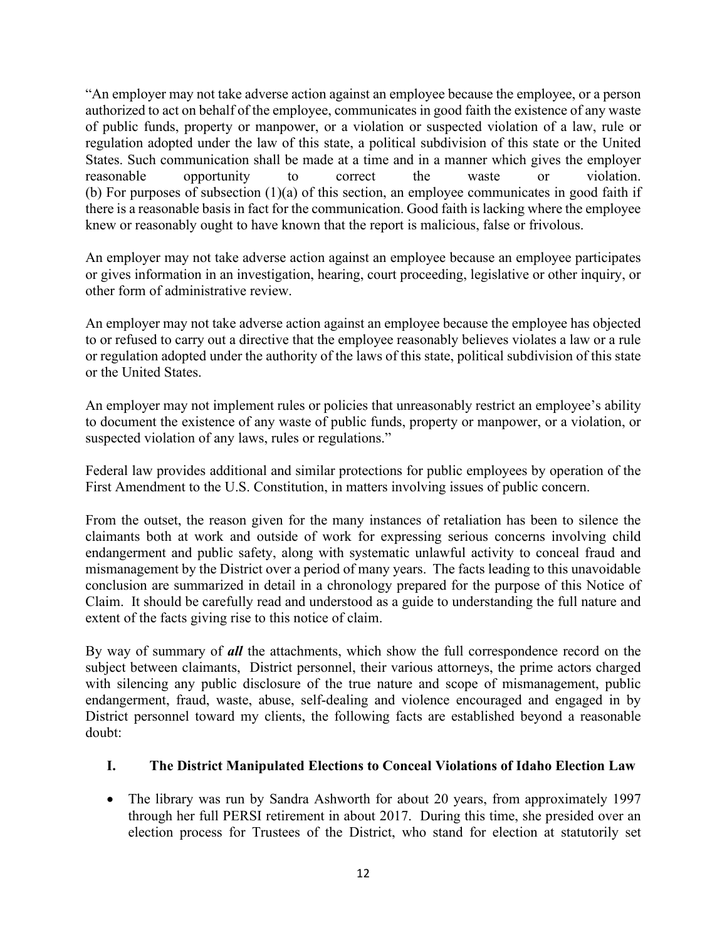"An employer may not take adverse action against an employee because the employee, or a person authorized to act on behalf of the employee, communicates in good faith the existence of any waste of public funds, property or manpower, or a violation or suspected violation of a law, rule or regulation adopted under the law of this state, a political subdivision of this state or the United States. Such communication shall be made at a time and in a manner which gives the employer reasonable opportunity to correct the waste or violation. (b) For purposes of subsection (1)(a) of this section, an employee communicates in good faith if there is a reasonable basis in fact for the communication. Good faith is lacking where the employee knew or reasonably ought to have known that the report is malicious, false or frivolous.

An employer may not take adverse action against an employee because an employee participates or gives information in an investigation, hearing, court proceeding, legislative or other inquiry, or other form of administrative review.

An employer may not take adverse action against an employee because the employee has objected to or refused to carry out a directive that the employee reasonably believes violates a law or a rule or regulation adopted under the authority of the laws of this state, political subdivision of this state or the United States.

An employer may not implement rules or policies that unreasonably restrict an employee's ability to document the existence of any waste of public funds, property or manpower, or a violation, or suspected violation of any laws, rules or regulations."

Federal law provides additional and similar protections for public employees by operation of the First Amendment to the U.S. Constitution, in matters involving issues of public concern.

From the outset, the reason given for the many instances of retaliation has been to silence the claimants both at work and outside of work for expressing serious concerns involving child endangerment and public safety, along with systematic unlawful activity to conceal fraud and mismanagement by the District over a period of many years. The facts leading to this unavoidable conclusion are summarized in detail in a chronology prepared for the purpose of this Notice of Claim. It should be carefully read and understood as a guide to understanding the full nature and extent of the facts giving rise to this notice of claim.

By way of summary of *all* the attachments, which show the full correspondence record on the subject between claimants, District personnel, their various attorneys, the prime actors charged with silencing any public disclosure of the true nature and scope of mismanagement, public endangerment, fraud, waste, abuse, self-dealing and violence encouraged and engaged in by District personnel toward my clients, the following facts are established beyond a reasonable doubt:

# **I. The District Manipulated Elections to Conceal Violations of Idaho Election Law**

• The library was run by Sandra Ashworth for about 20 years, from approximately 1997 through her full PERSI retirement in about 2017. During this time, she presided over an election process for Trustees of the District, who stand for election at statutorily set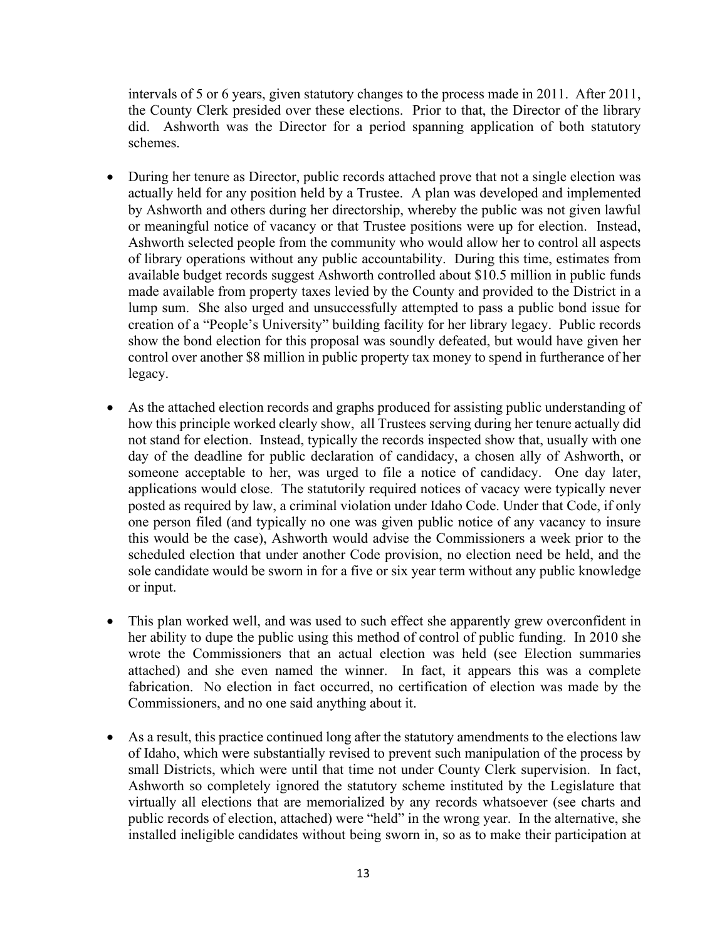intervals of 5 or 6 years, given statutory changes to the process made in 2011. After 2011, the County Clerk presided over these elections. Prior to that, the Director of the library did. Ashworth was the Director for a period spanning application of both statutory schemes.

- During her tenure as Director, public records attached prove that not a single election was actually held for any position held by a Trustee. A plan was developed and implemented by Ashworth and others during her directorship, whereby the public was not given lawful or meaningful notice of vacancy or that Trustee positions were up for election. Instead, Ashworth selected people from the community who would allow her to control all aspects of library operations without any public accountability. During this time, estimates from available budget records suggest Ashworth controlled about \$10.5 million in public funds made available from property taxes levied by the County and provided to the District in a lump sum. She also urged and unsuccessfully attempted to pass a public bond issue for creation of a "People's University" building facility for her library legacy. Public records show the bond election for this proposal was soundly defeated, but would have given her control over another \$8 million in public property tax money to spend in furtherance of her legacy.
- As the attached election records and graphs produced for assisting public understanding of how this principle worked clearly show, all Trustees serving during her tenure actually did not stand for election. Instead, typically the records inspected show that, usually with one day of the deadline for public declaration of candidacy, a chosen ally of Ashworth, or someone acceptable to her, was urged to file a notice of candidacy. One day later, applications would close. The statutorily required notices of vacacy were typically never posted as required by law, a criminal violation under Idaho Code. Under that Code, if only one person filed (and typically no one was given public notice of any vacancy to insure this would be the case), Ashworth would advise the Commissioners a week prior to the scheduled election that under another Code provision, no election need be held, and the sole candidate would be sworn in for a five or six year term without any public knowledge or input.
- This plan worked well, and was used to such effect she apparently grew overconfident in her ability to dupe the public using this method of control of public funding. In 2010 she wrote the Commissioners that an actual election was held (see Election summaries attached) and she even named the winner. In fact, it appears this was a complete fabrication. No election in fact occurred, no certification of election was made by the Commissioners, and no one said anything about it.
- As a result, this practice continued long after the statutory amendments to the elections law of Idaho, which were substantially revised to prevent such manipulation of the process by small Districts, which were until that time not under County Clerk supervision. In fact, Ashworth so completely ignored the statutory scheme instituted by the Legislature that virtually all elections that are memorialized by any records whatsoever (see charts and public records of election, attached) were "held" in the wrong year. In the alternative, she installed ineligible candidates without being sworn in, so as to make their participation at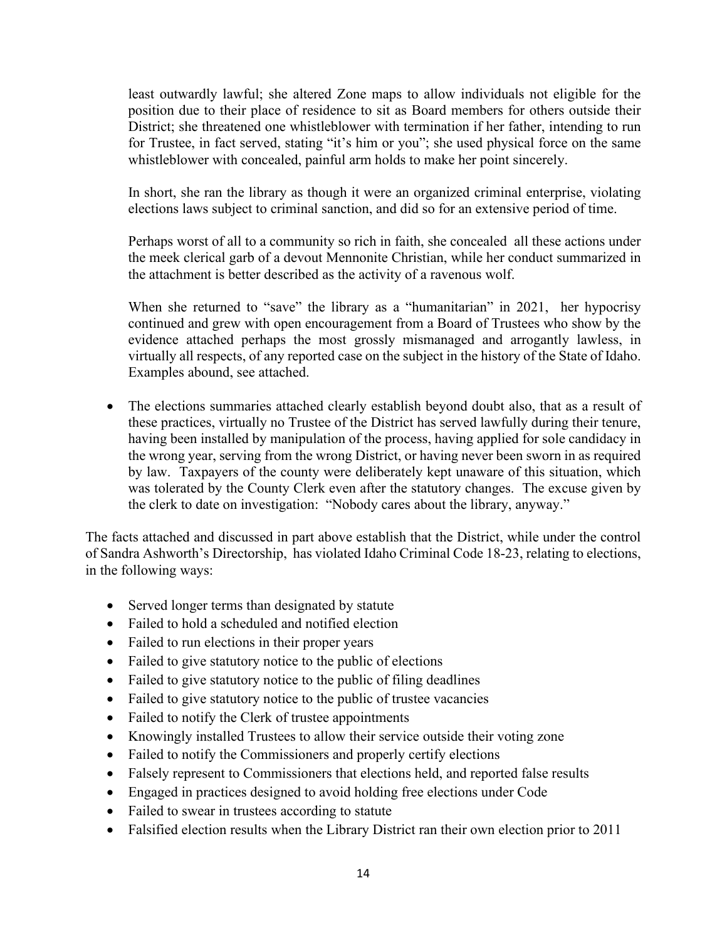least outwardly lawful; she altered Zone maps to allow individuals not eligible for the position due to their place of residence to sit as Board members for others outside their District; she threatened one whistleblower with termination if her father, intending to run for Trustee, in fact served, stating "it's him or you"; she used physical force on the same whistleblower with concealed, painful arm holds to make her point sincerely.

In short, she ran the library as though it were an organized criminal enterprise, violating elections laws subject to criminal sanction, and did so for an extensive period of time.

Perhaps worst of all to a community so rich in faith, she concealed all these actions under the meek clerical garb of a devout Mennonite Christian, while her conduct summarized in the attachment is better described as the activity of a ravenous wolf.

When she returned to "save" the library as a "humanitarian" in 2021, her hypocrisy continued and grew with open encouragement from a Board of Trustees who show by the evidence attached perhaps the most grossly mismanaged and arrogantly lawless, in virtually all respects, of any reported case on the subject in the history of the State of Idaho. Examples abound, see attached.

• The elections summaries attached clearly establish beyond doubt also, that as a result of these practices, virtually no Trustee of the District has served lawfully during their tenure, having been installed by manipulation of the process, having applied for sole candidacy in the wrong year, serving from the wrong District, or having never been sworn in as required by law. Taxpayers of the county were deliberately kept unaware of this situation, which was tolerated by the County Clerk even after the statutory changes. The excuse given by the clerk to date on investigation: "Nobody cares about the library, anyway."

The facts attached and discussed in part above establish that the District, while under the control of Sandra Ashworth's Directorship, has violated Idaho Criminal Code 18-23, relating to elections, in the following ways:

- Served longer terms than designated by statute
- Failed to hold a scheduled and notified election
- Failed to run elections in their proper years
- Failed to give statutory notice to the public of elections
- Failed to give statutory notice to the public of filing deadlines
- Failed to give statutory notice to the public of trustee vacancies
- Failed to notify the Clerk of trustee appointments
- Knowingly installed Trustees to allow their service outside their voting zone
- Failed to notify the Commissioners and properly certify elections
- Falsely represent to Commissioners that elections held, and reported false results
- Engaged in practices designed to avoid holding free elections under Code
- Failed to swear in trustees according to statute
- Falsified election results when the Library District ran their own election prior to 2011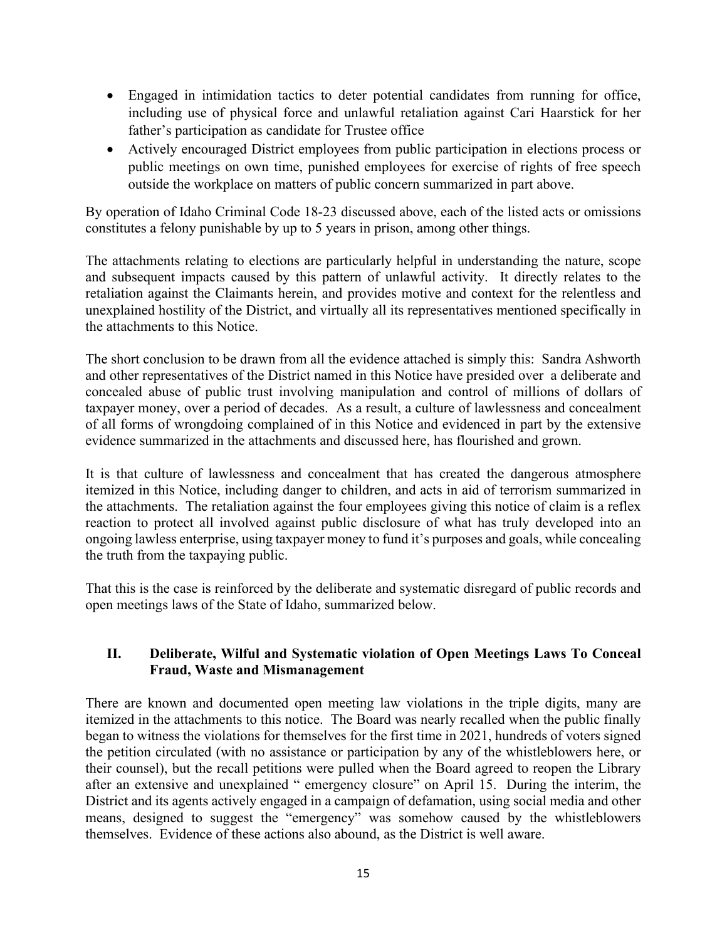- Engaged in intimidation tactics to deter potential candidates from running for office, including use of physical force and unlawful retaliation against Cari Haarstick for her father's participation as candidate for Trustee office
- Actively encouraged District employees from public participation in elections process or public meetings on own time, punished employees for exercise of rights of free speech outside the workplace on matters of public concern summarized in part above.

By operation of Idaho Criminal Code 18-23 discussed above, each of the listed acts or omissions constitutes a felony punishable by up to 5 years in prison, among other things.

The attachments relating to elections are particularly helpful in understanding the nature, scope and subsequent impacts caused by this pattern of unlawful activity. It directly relates to the retaliation against the Claimants herein, and provides motive and context for the relentless and unexplained hostility of the District, and virtually all its representatives mentioned specifically in the attachments to this Notice.

The short conclusion to be drawn from all the evidence attached is simply this: Sandra Ashworth and other representatives of the District named in this Notice have presided over a deliberate and concealed abuse of public trust involving manipulation and control of millions of dollars of taxpayer money, over a period of decades. As a result, a culture of lawlessness and concealment of all forms of wrongdoing complained of in this Notice and evidenced in part by the extensive evidence summarized in the attachments and discussed here, has flourished and grown.

It is that culture of lawlessness and concealment that has created the dangerous atmosphere itemized in this Notice, including danger to children, and acts in aid of terrorism summarized in the attachments. The retaliation against the four employees giving this notice of claim is a reflex reaction to protect all involved against public disclosure of what has truly developed into an ongoing lawless enterprise, using taxpayer money to fund it's purposes and goals, while concealing the truth from the taxpaying public.

That this is the case is reinforced by the deliberate and systematic disregard of public records and open meetings laws of the State of Idaho, summarized below.

## **II. Deliberate, Wilful and Systematic violation of Open Meetings Laws To Conceal Fraud, Waste and Mismanagement**

There are known and documented open meeting law violations in the triple digits, many are itemized in the attachments to this notice. The Board was nearly recalled when the public finally began to witness the violations for themselves for the first time in 2021, hundreds of voters signed the petition circulated (with no assistance or participation by any of the whistleblowers here, or their counsel), but the recall petitions were pulled when the Board agreed to reopen the Library after an extensive and unexplained " emergency closure" on April 15. During the interim, the District and its agents actively engaged in a campaign of defamation, using social media and other means, designed to suggest the "emergency" was somehow caused by the whistleblowers themselves. Evidence of these actions also abound, as the District is well aware.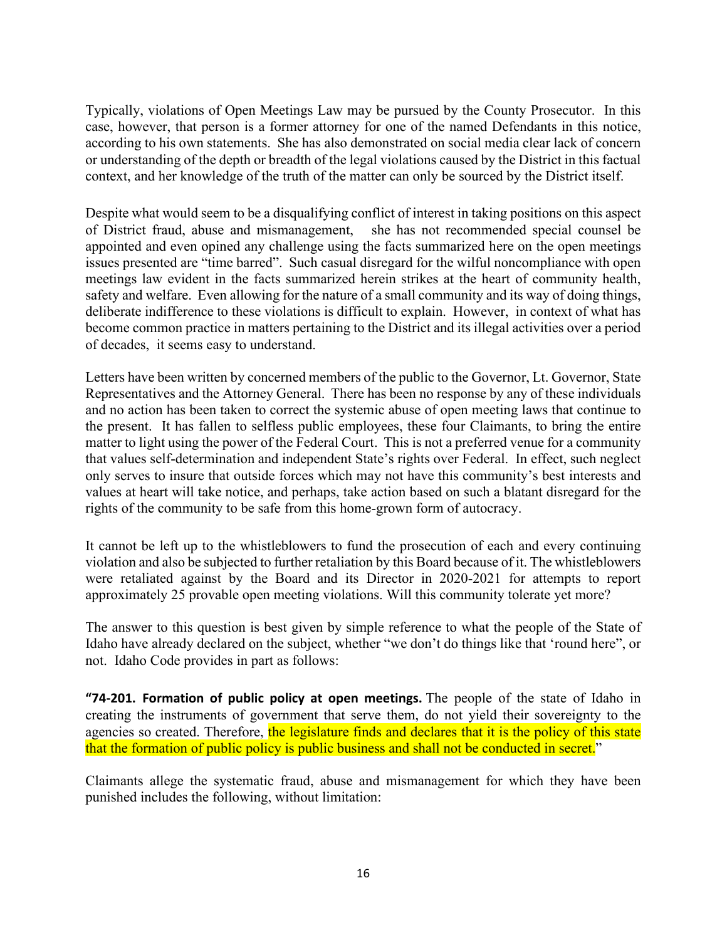Typically, violations of Open Meetings Law may be pursued by the County Prosecutor. In this case, however, that person is a former attorney for one of the named Defendants in this notice, according to his own statements. She has also demonstrated on social media clear lack of concern or understanding of the depth or breadth of the legal violations caused by the District in this factual context, and her knowledge of the truth of the matter can only be sourced by the District itself.

Despite what would seem to be a disqualifying conflict of interest in taking positions on this aspect of District fraud, abuse and mismanagement, she has not recommended special counsel be appointed and even opined any challenge using the facts summarized here on the open meetings issues presented are "time barred". Such casual disregard for the wilful noncompliance with open meetings law evident in the facts summarized herein strikes at the heart of community health, safety and welfare. Even allowing for the nature of a small community and its way of doing things, deliberate indifference to these violations is difficult to explain. However, in context of what has become common practice in matters pertaining to the District and its illegal activities over a period of decades, it seems easy to understand.

Letters have been written by concerned members of the public to the Governor, Lt. Governor, State Representatives and the Attorney General. There has been no response by any of these individuals and no action has been taken to correct the systemic abuse of open meeting laws that continue to the present. It has fallen to selfless public employees, these four Claimants, to bring the entire matter to light using the power of the Federal Court. This is not a preferred venue for a community that values self-determination and independent State's rights over Federal. In effect, such neglect only serves to insure that outside forces which may not have this community's best interests and values at heart will take notice, and perhaps, take action based on such a blatant disregard for the rights of the community to be safe from this home-grown form of autocracy.

It cannot be left up to the whistleblowers to fund the prosecution of each and every continuing violation and also be subjected to further retaliation by this Board because of it. The whistleblowers were retaliated against by the Board and its Director in 2020-2021 for attempts to report approximately 25 provable open meeting violations. Will this community tolerate yet more?

The answer to this question is best given by simple reference to what the people of the State of Idaho have already declared on the subject, whether "we don't do things like that 'round here", or not. Idaho Code provides in part as follows:

**"74-201. Formation of public policy at open meetings.** The people of the state of Idaho in creating the instruments of government that serve them, do not yield their sovereignty to the agencies so created. Therefore, the legislature finds and declares that it is the policy of this state that the formation of public policy is public business and shall not be conducted in secret."

Claimants allege the systematic fraud, abuse and mismanagement for which they have been punished includes the following, without limitation: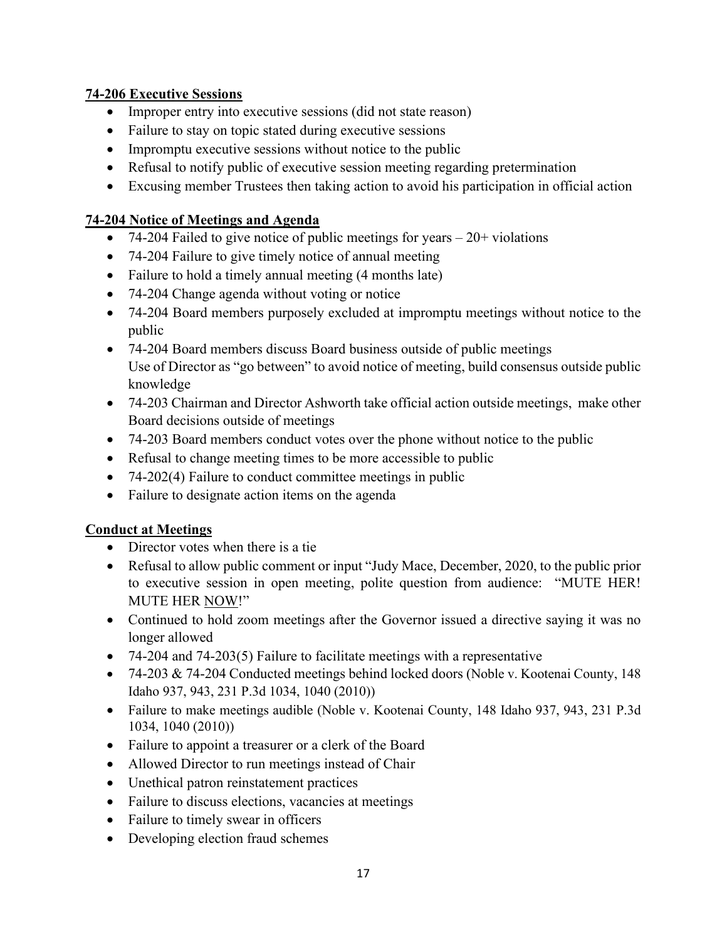## **74-206 Executive Sessions**

- Improper entry into executive sessions (did not state reason)
- Failure to stay on topic stated during executive sessions
- Impromptu executive sessions without notice to the public
- Refusal to notify public of executive session meeting regarding pretermination
- Excusing member Trustees then taking action to avoid his participation in official action

## **74-204 Notice of Meetings and Agenda**

- 74-204 Failed to give notice of public meetings for years  $-20+$  violations
- 74-204 Failure to give timely notice of annual meeting
- Failure to hold a timely annual meeting (4 months late)
- 74-204 Change agenda without voting or notice
- 74-204 Board members purposely excluded at impromptu meetings without notice to the public
- 74-204 Board members discuss Board business outside of public meetings Use of Director as "go between" to avoid notice of meeting, build consensus outside public knowledge
- 74-203 Chairman and Director Ashworth take official action outside meetings, make other Board decisions outside of meetings
- 74-203 Board members conduct votes over the phone without notice to the public
- Refusal to change meeting times to be more accessible to public
- 74-202(4) Failure to conduct committee meetings in public
- Failure to designate action items on the agenda

## **Conduct at Meetings**

- Director votes when there is a tie
- Refusal to allow public comment or input "Judy Mace, December, 2020, to the public prior to executive session in open meeting, polite question from audience: "MUTE HER! MUTE HER NOW!"
- Continued to hold zoom meetings after the Governor issued a directive saying it was no longer allowed
- 74-204 and 74-203(5) Failure to facilitate meetings with a representative
- 74-203 & 74-204 Conducted meetings behind locked doors (Noble v. Kootenai County, 148 Idaho 937, 943, 231 P.3d 1034, 1040 (2010))
- Failure to make meetings audible (Noble v. Kootenai County, 148 Idaho 937, 943, 231 P.3d 1034, 1040 (2010))
- Failure to appoint a treasurer or a clerk of the Board
- Allowed Director to run meetings instead of Chair
- Unethical patron reinstatement practices
- Failure to discuss elections, vacancies at meetings
- Failure to timely swear in officers
- Developing election fraud schemes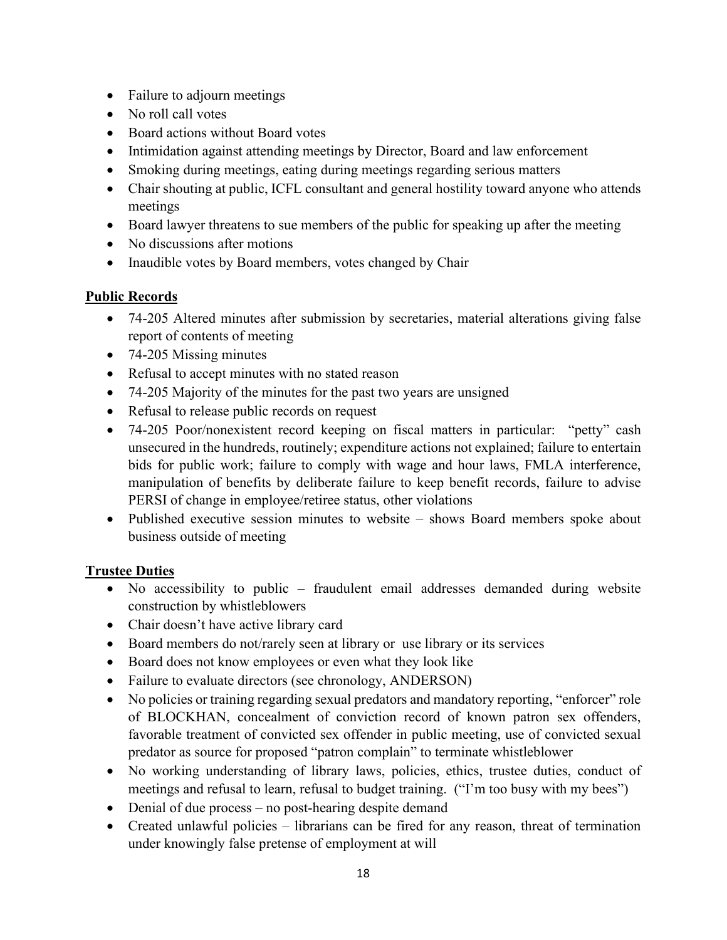- Failure to adjourn meetings
- No roll call votes
- Board actions without Board votes
- Intimidation against attending meetings by Director, Board and law enforcement
- Smoking during meetings, eating during meetings regarding serious matters
- Chair shouting at public, ICFL consultant and general hostility toward anyone who attends meetings
- Board lawyer threatens to sue members of the public for speaking up after the meeting
- No discussions after motions
- Inaudible votes by Board members, votes changed by Chair

## **Public Records**

- 74-205 Altered minutes after submission by secretaries, material alterations giving false report of contents of meeting
- 74-205 Missing minutes
- Refusal to accept minutes with no stated reason
- 74-205 Majority of the minutes for the past two years are unsigned
- Refusal to release public records on request
- 74-205 Poor/nonexistent record keeping on fiscal matters in particular: "petty" cash unsecured in the hundreds, routinely; expenditure actions not explained; failure to entertain bids for public work; failure to comply with wage and hour laws, FMLA interference, manipulation of benefits by deliberate failure to keep benefit records, failure to advise PERSI of change in employee/retiree status, other violations
- Published executive session minutes to website shows Board members spoke about business outside of meeting

## **Trustee Duties**

- No accessibility to public fraudulent email addresses demanded during website construction by whistleblowers
- Chair doesn't have active library card
- Board members do not/rarely seen at library or use library or its services
- Board does not know employees or even what they look like
- Failure to evaluate directors (see chronology, ANDERSON)
- No policies or training regarding sexual predators and mandatory reporting, "enforcer" role of BLOCKHAN, concealment of conviction record of known patron sex offenders, favorable treatment of convicted sex offender in public meeting, use of convicted sexual predator as source for proposed "patron complain" to terminate whistleblower
- No working understanding of library laws, policies, ethics, trustee duties, conduct of meetings and refusal to learn, refusal to budget training. ("I'm too busy with my bees")
- Denial of due process no post-hearing despite demand
- Created unlawful policies librarians can be fired for any reason, threat of termination under knowingly false pretense of employment at will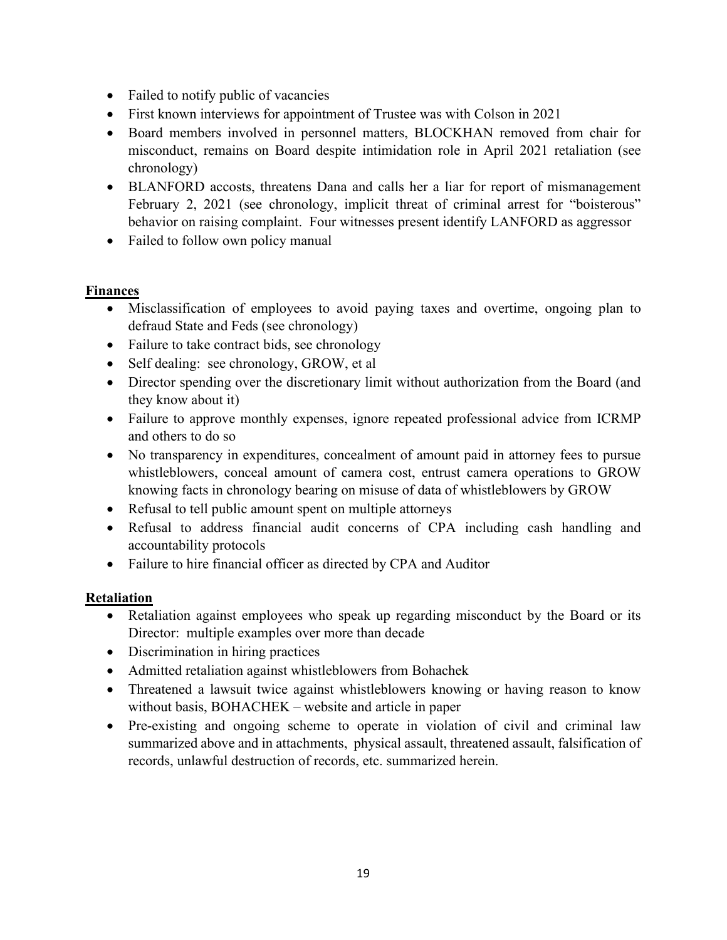- Failed to notify public of vacancies
- First known interviews for appointment of Trustee was with Colson in 2021
- Board members involved in personnel matters, BLOCKHAN removed from chair for misconduct, remains on Board despite intimidation role in April 2021 retaliation (see chronology)
- BLANFORD accosts, threatens Dana and calls her a liar for report of mismanagement February 2, 2021 (see chronology, implicit threat of criminal arrest for "boisterous" behavior on raising complaint. Four witnesses present identify LANFORD as aggressor
- Failed to follow own policy manual

## **Finances**

- Misclassification of employees to avoid paying taxes and overtime, ongoing plan to defraud State and Feds (see chronology)
- Failure to take contract bids, see chronology
- Self dealing: see chronology, GROW, et al
- Director spending over the discretionary limit without authorization from the Board (and they know about it)
- Failure to approve monthly expenses, ignore repeated professional advice from ICRMP and others to do so
- No transparency in expenditures, concealment of amount paid in attorney fees to pursue whistleblowers, conceal amount of camera cost, entrust camera operations to GROW knowing facts in chronology bearing on misuse of data of whistleblowers by GROW
- Refusal to tell public amount spent on multiple attorneys
- Refusal to address financial audit concerns of CPA including cash handling and accountability protocols
- Failure to hire financial officer as directed by CPA and Auditor

## **Retaliation**

- Retaliation against employees who speak up regarding misconduct by the Board or its Director: multiple examples over more than decade
- Discrimination in hiring practices
- Admitted retaliation against whistleblowers from Bohachek
- Threatened a lawsuit twice against whistleblowers knowing or having reason to know without basis, BOHACHEK – website and article in paper
- Pre-existing and ongoing scheme to operate in violation of civil and criminal law summarized above and in attachments, physical assault, threatened assault, falsification of records, unlawful destruction of records, etc. summarized herein.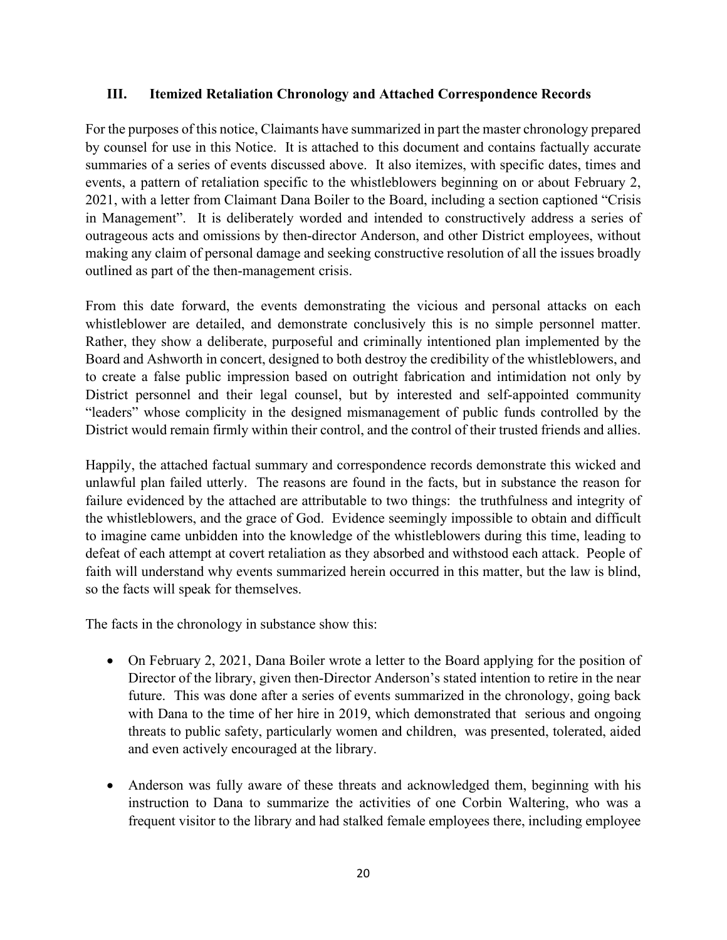#### **III. Itemized Retaliation Chronology and Attached Correspondence Records**

For the purposes of this notice, Claimants have summarized in part the master chronology prepared by counsel for use in this Notice. It is attached to this document and contains factually accurate summaries of a series of events discussed above. It also itemizes, with specific dates, times and events, a pattern of retaliation specific to the whistleblowers beginning on or about February 2, 2021, with a letter from Claimant Dana Boiler to the Board, including a section captioned "Crisis in Management". It is deliberately worded and intended to constructively address a series of outrageous acts and omissions by then-director Anderson, and other District employees, without making any claim of personal damage and seeking constructive resolution of all the issues broadly outlined as part of the then-management crisis.

From this date forward, the events demonstrating the vicious and personal attacks on each whistleblower are detailed, and demonstrate conclusively this is no simple personnel matter. Rather, they show a deliberate, purposeful and criminally intentioned plan implemented by the Board and Ashworth in concert, designed to both destroy the credibility of the whistleblowers, and to create a false public impression based on outright fabrication and intimidation not only by District personnel and their legal counsel, but by interested and self-appointed community "leaders" whose complicity in the designed mismanagement of public funds controlled by the District would remain firmly within their control, and the control of their trusted friends and allies.

Happily, the attached factual summary and correspondence records demonstrate this wicked and unlawful plan failed utterly. The reasons are found in the facts, but in substance the reason for failure evidenced by the attached are attributable to two things: the truthfulness and integrity of the whistleblowers, and the grace of God. Evidence seemingly impossible to obtain and difficult to imagine came unbidden into the knowledge of the whistleblowers during this time, leading to defeat of each attempt at covert retaliation as they absorbed and withstood each attack. People of faith will understand why events summarized herein occurred in this matter, but the law is blind, so the facts will speak for themselves.

The facts in the chronology in substance show this:

- On February 2, 2021, Dana Boiler wrote a letter to the Board applying for the position of Director of the library, given then-Director Anderson's stated intention to retire in the near future. This was done after a series of events summarized in the chronology, going back with Dana to the time of her hire in 2019, which demonstrated that serious and ongoing threats to public safety, particularly women and children, was presented, tolerated, aided and even actively encouraged at the library.
- Anderson was fully aware of these threats and acknowledged them, beginning with his instruction to Dana to summarize the activities of one Corbin Waltering, who was a frequent visitor to the library and had stalked female employees there, including employee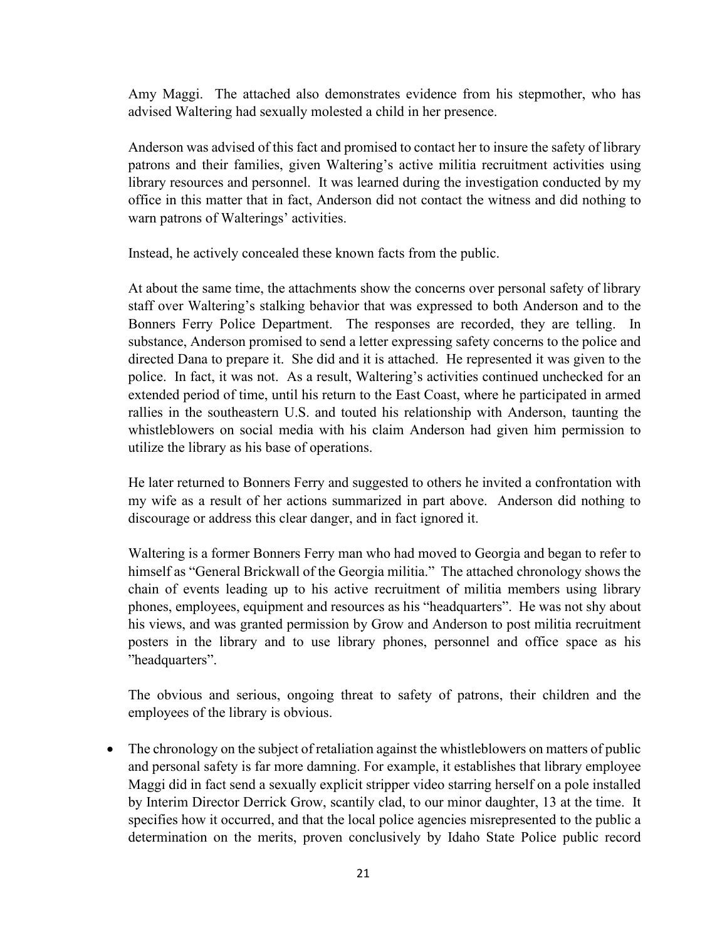Amy Maggi. The attached also demonstrates evidence from his stepmother, who has advised Waltering had sexually molested a child in her presence.

Anderson was advised of this fact and promised to contact her to insure the safety of library patrons and their families, given Waltering's active militia recruitment activities using library resources and personnel. It was learned during the investigation conducted by my office in this matter that in fact, Anderson did not contact the witness and did nothing to warn patrons of Walterings' activities.

Instead, he actively concealed these known facts from the public.

At about the same time, the attachments show the concerns over personal safety of library staff over Waltering's stalking behavior that was expressed to both Anderson and to the Bonners Ferry Police Department. The responses are recorded, they are telling. In substance, Anderson promised to send a letter expressing safety concerns to the police and directed Dana to prepare it. She did and it is attached. He represented it was given to the police. In fact, it was not. As a result, Waltering's activities continued unchecked for an extended period of time, until his return to the East Coast, where he participated in armed rallies in the southeastern U.S. and touted his relationship with Anderson, taunting the whistleblowers on social media with his claim Anderson had given him permission to utilize the library as his base of operations.

He later returned to Bonners Ferry and suggested to others he invited a confrontation with my wife as a result of her actions summarized in part above. Anderson did nothing to discourage or address this clear danger, and in fact ignored it.

Waltering is a former Bonners Ferry man who had moved to Georgia and began to refer to himself as "General Brickwall of the Georgia militia." The attached chronology shows the chain of events leading up to his active recruitment of militia members using library phones, employees, equipment and resources as his "headquarters". He was not shy about his views, and was granted permission by Grow and Anderson to post militia recruitment posters in the library and to use library phones, personnel and office space as his "headquarters".

The obvious and serious, ongoing threat to safety of patrons, their children and the employees of the library is obvious.

• The chronology on the subject of retaliation against the whistleblowers on matters of public and personal safety is far more damning. For example, it establishes that library employee Maggi did in fact send a sexually explicit stripper video starring herself on a pole installed by Interim Director Derrick Grow, scantily clad, to our minor daughter, 13 at the time. It specifies how it occurred, and that the local police agencies misrepresented to the public a determination on the merits, proven conclusively by Idaho State Police public record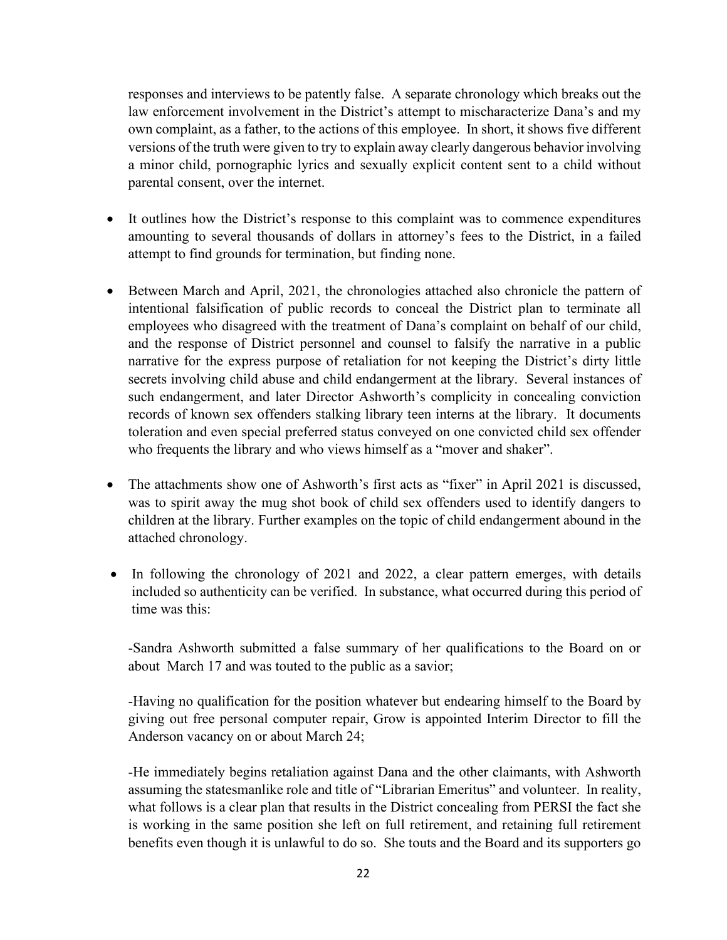responses and interviews to be patently false. A separate chronology which breaks out the law enforcement involvement in the District's attempt to mischaracterize Dana's and my own complaint, as a father, to the actions of this employee. In short, it shows five different versions of the truth were given to try to explain away clearly dangerous behavior involving a minor child, pornographic lyrics and sexually explicit content sent to a child without parental consent, over the internet.

- It outlines how the District's response to this complaint was to commence expenditures amounting to several thousands of dollars in attorney's fees to the District, in a failed attempt to find grounds for termination, but finding none.
- Between March and April, 2021, the chronologies attached also chronicle the pattern of intentional falsification of public records to conceal the District plan to terminate all employees who disagreed with the treatment of Dana's complaint on behalf of our child, and the response of District personnel and counsel to falsify the narrative in a public narrative for the express purpose of retaliation for not keeping the District's dirty little secrets involving child abuse and child endangerment at the library. Several instances of such endangerment, and later Director Ashworth's complicity in concealing conviction records of known sex offenders stalking library teen interns at the library. It documents toleration and even special preferred status conveyed on one convicted child sex offender who frequents the library and who views himself as a "mover and shaker".
- The attachments show one of Ashworth's first acts as "fixer" in April 2021 is discussed, was to spirit away the mug shot book of child sex offenders used to identify dangers to children at the library. Further examples on the topic of child endangerment abound in the attached chronology.
- In following the chronology of 2021 and 2022, a clear pattern emerges, with details included so authenticity can be verified. In substance, what occurred during this period of time was this:

-Sandra Ashworth submitted a false summary of her qualifications to the Board on or about March 17 and was touted to the public as a savior;

-Having no qualification for the position whatever but endearing himself to the Board by giving out free personal computer repair, Grow is appointed Interim Director to fill the Anderson vacancy on or about March 24;

-He immediately begins retaliation against Dana and the other claimants, with Ashworth assuming the statesmanlike role and title of "Librarian Emeritus" and volunteer. In reality, what follows is a clear plan that results in the District concealing from PERSI the fact she is working in the same position she left on full retirement, and retaining full retirement benefits even though it is unlawful to do so. She touts and the Board and its supporters go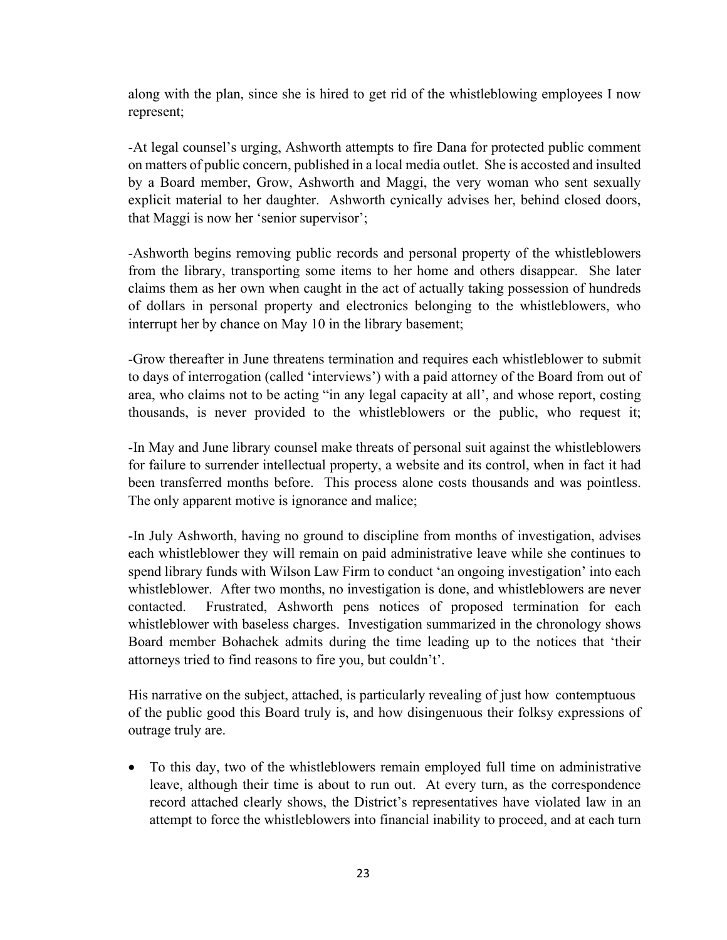along with the plan, since she is hired to get rid of the whistleblowing employees I now represent;

-At legal counsel's urging, Ashworth attempts to fire Dana for protected public comment on matters of public concern, published in a local media outlet. She is accosted and insulted by a Board member, Grow, Ashworth and Maggi, the very woman who sent sexually explicit material to her daughter. Ashworth cynically advises her, behind closed doors, that Maggi is now her 'senior supervisor';

-Ashworth begins removing public records and personal property of the whistleblowers from the library, transporting some items to her home and others disappear. She later claims them as her own when caught in the act of actually taking possession of hundreds of dollars in personal property and electronics belonging to the whistleblowers, who interrupt her by chance on May 10 in the library basement;

-Grow thereafter in June threatens termination and requires each whistleblower to submit to days of interrogation (called 'interviews') with a paid attorney of the Board from out of area, who claims not to be acting "in any legal capacity at all', and whose report, costing thousands, is never provided to the whistleblowers or the public, who request it;

-In May and June library counsel make threats of personal suit against the whistleblowers for failure to surrender intellectual property, a website and its control, when in fact it had been transferred months before. This process alone costs thousands and was pointless. The only apparent motive is ignorance and malice;

-In July Ashworth, having no ground to discipline from months of investigation, advises each whistleblower they will remain on paid administrative leave while she continues to spend library funds with Wilson Law Firm to conduct 'an ongoing investigation' into each whistleblower. After two months, no investigation is done, and whistleblowers are never contacted. Frustrated, Ashworth pens notices of proposed termination for each whistleblower with baseless charges. Investigation summarized in the chronology shows Board member Bohachek admits during the time leading up to the notices that 'their attorneys tried to find reasons to fire you, but couldn't'.

His narrative on the subject, attached, is particularly revealing of just how contemptuous of the public good this Board truly is, and how disingenuous their folksy expressions of outrage truly are.

• To this day, two of the whistleblowers remain employed full time on administrative leave, although their time is about to run out. At every turn, as the correspondence record attached clearly shows, the District's representatives have violated law in an attempt to force the whistleblowers into financial inability to proceed, and at each turn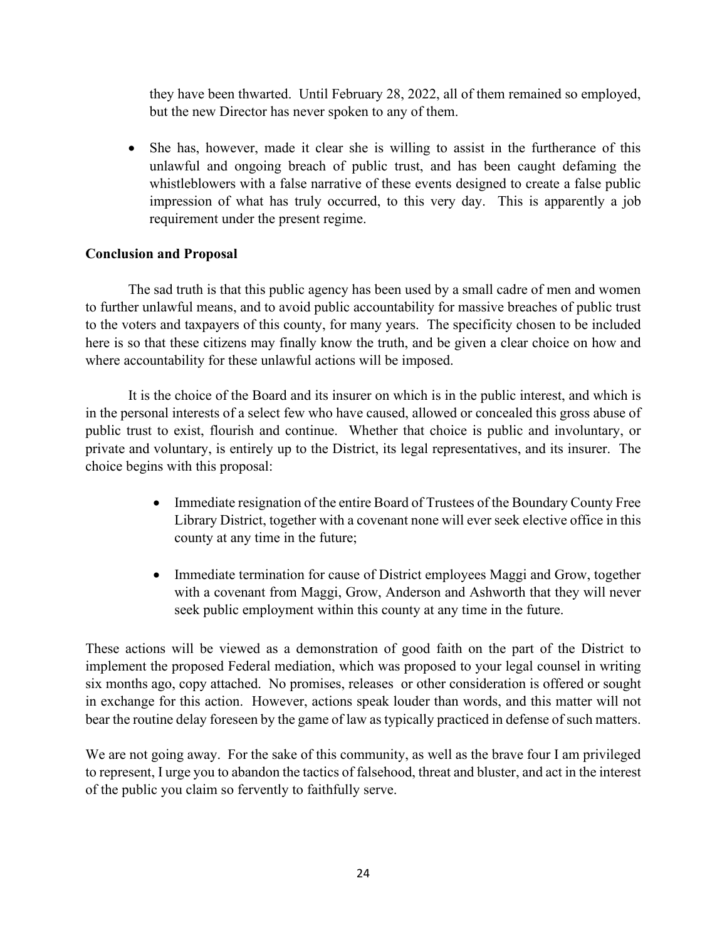they have been thwarted. Until February 28, 2022, all of them remained so employed, but the new Director has never spoken to any of them.

• She has, however, made it clear she is willing to assist in the furtherance of this unlawful and ongoing breach of public trust, and has been caught defaming the whistleblowers with a false narrative of these events designed to create a false public impression of what has truly occurred, to this very day. This is apparently a job requirement under the present regime.

## **Conclusion and Proposal**

The sad truth is that this public agency has been used by a small cadre of men and women to further unlawful means, and to avoid public accountability for massive breaches of public trust to the voters and taxpayers of this county, for many years. The specificity chosen to be included here is so that these citizens may finally know the truth, and be given a clear choice on how and where accountability for these unlawful actions will be imposed.

It is the choice of the Board and its insurer on which is in the public interest, and which is in the personal interests of a select few who have caused, allowed or concealed this gross abuse of public trust to exist, flourish and continue. Whether that choice is public and involuntary, or private and voluntary, is entirely up to the District, its legal representatives, and its insurer. The choice begins with this proposal:

- Immediate resignation of the entire Board of Trustees of the Boundary County Free Library District, together with a covenant none will ever seek elective office in this county at any time in the future;
- Immediate termination for cause of District employees Maggi and Grow, together with a covenant from Maggi, Grow, Anderson and Ashworth that they will never seek public employment within this county at any time in the future.

These actions will be viewed as a demonstration of good faith on the part of the District to implement the proposed Federal mediation, which was proposed to your legal counsel in writing six months ago, copy attached. No promises, releases or other consideration is offered or sought in exchange for this action. However, actions speak louder than words, and this matter will not bear the routine delay foreseen by the game of law as typically practiced in defense of such matters.

We are not going away. For the sake of this community, as well as the brave four I am privileged to represent, I urge you to abandon the tactics of falsehood, threat and bluster, and act in the interest of the public you claim so fervently to faithfully serve.